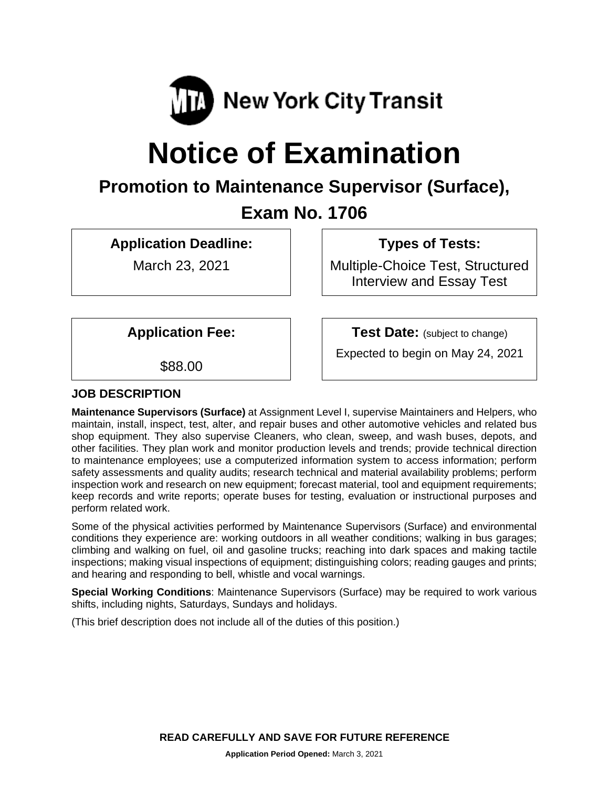

# **Notice of Examination**

# **Promotion to Maintenance Supervisor (Surface),**

# **Exam No. 1706**

# **Application Deadline:**

March 23, 2021

# **Types of Tests:**

Multiple-Choice Test, Structured Interview and Essay Test

**Application Fee:**

**Test Date:** (subject to change)

\$88.00

Expected to begin on May 24, 2021

# **JOB DESCRIPTION**

**Maintenance Supervisors (Surface)** at Assignment Level I, supervise Maintainers and Helpers, who maintain, install, inspect, test, alter, and repair buses and other automotive vehicles and related bus shop equipment. They also supervise Cleaners, who clean, sweep, and wash buses, depots, and other facilities. They plan work and monitor production levels and trends; provide technical direction to maintenance employees; use a computerized information system to access information; perform safety assessments and quality audits; research technical and material availability problems; perform inspection work and research on new equipment; forecast material, tool and equipment requirements; keep records and write reports; operate buses for testing, evaluation or instructional purposes and perform related work.

Some of the physical activities performed by Maintenance Supervisors (Surface) and environmental conditions they experience are: working outdoors in all weather conditions; walking in bus garages; climbing and walking on fuel, oil and gasoline trucks; reaching into dark spaces and making tactile inspections; making visual inspections of equipment; distinguishing colors; reading gauges and prints; and hearing and responding to bell, whistle and vocal warnings.

**Special Working Conditions**: Maintenance Supervisors (Surface) may be required to work various shifts, including nights, Saturdays, Sundays and holidays.

(This brief description does not include all of the duties of this position.)

**READ CAREFULLY AND SAVE FOR FUTURE REFERENCE**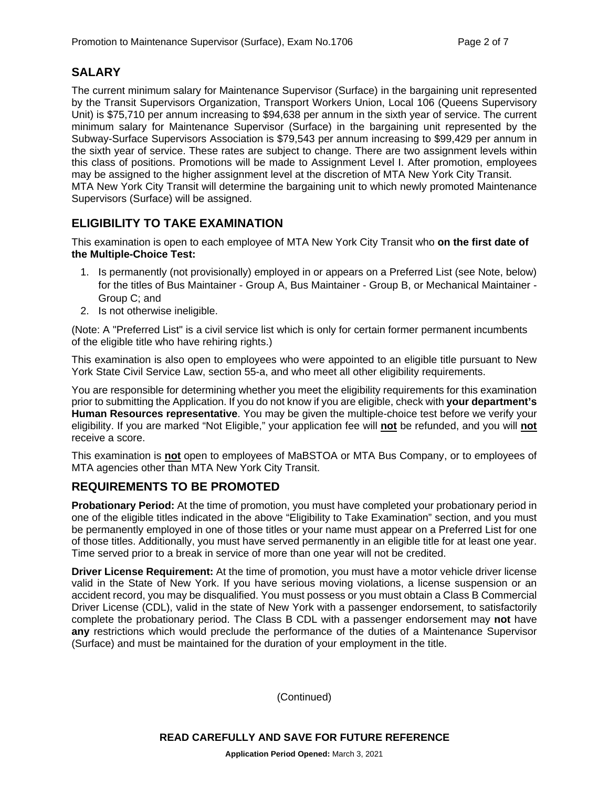# **SALARY**

The current minimum salary for Maintenance Supervisor (Surface) in the bargaining unit represented by the Transit Supervisors Organization, Transport Workers Union, Local 106 (Queens Supervisory Unit) is \$75,710 per annum increasing to \$94,638 per annum in the sixth year of service. The current minimum salary for Maintenance Supervisor (Surface) in the bargaining unit represented by the Subway-Surface Supervisors Association is \$79,543 per annum increasing to \$99,429 per annum in the sixth year of service. These rates are subject to change. There are two assignment levels within this class of positions. Promotions will be made to Assignment Level I. After promotion, employees may be assigned to the higher assignment level at the discretion of MTA New York City Transit. MTA New York City Transit will determine the bargaining unit to which newly promoted Maintenance Supervisors (Surface) will be assigned.

# **ELIGIBILITY TO TAKE EXAMINATION**

This examination is open to each employee of MTA New York City Transit who **on the first date of the Multiple-Choice Test:**

- 1. Is permanently (not provisionally) employed in or appears on a Preferred List (see Note, below) for the titles of Bus Maintainer - Group A, Bus Maintainer - Group B, or Mechanical Maintainer - Group C; and
- 2. Is not otherwise ineligible.

(Note: A "Preferred List" is a civil service list which is only for certain former permanent incumbents of the eligible title who have rehiring rights.)

This examination is also open to employees who were appointed to an eligible title pursuant to New York State Civil Service Law, section 55-a, and who meet all other eligibility requirements.

You are responsible for determining whether you meet the eligibility requirements for this examination prior to submitting the Application. If you do not know if you are eligible, check with **your department's Human Resources representative**. You may be given the multiple-choice test before we verify your eligibility. If you are marked "Not Eligible," your application fee will **not** be refunded, and you will **not** receive a score.

This examination is **not** open to employees of MaBSTOA or MTA Bus Company, or to employees of MTA agencies other than MTA New York City Transit.

#### **REQUIREMENTS TO BE PROMOTED**

**Probationary Period:** At the time of promotion, you must have completed your probationary period in one of the eligible titles indicated in the above "Eligibility to Take Examination" section, and you must be permanently employed in one of those titles or your name must appear on a Preferred List for one of those titles. Additionally, you must have served permanently in an eligible title for at least one year. Time served prior to a break in service of more than one year will not be credited.

**Driver License Requirement:** At the time of promotion, you must have a motor vehicle driver license valid in the State of New York. If you have serious moving violations, a license suspension or an accident record, you may be disqualified. You must possess or you must obtain a Class B Commercial Driver License (CDL), valid in the state of New York with a passenger endorsement, to satisfactorily complete the probationary period. The Class B CDL with a passenger endorsement may **not** have **any** restrictions which would preclude the performance of the duties of a Maintenance Supervisor (Surface) and must be maintained for the duration of your employment in the title.

(Continued)

**READ CAREFULLY AND SAVE FOR FUTURE REFERENCE**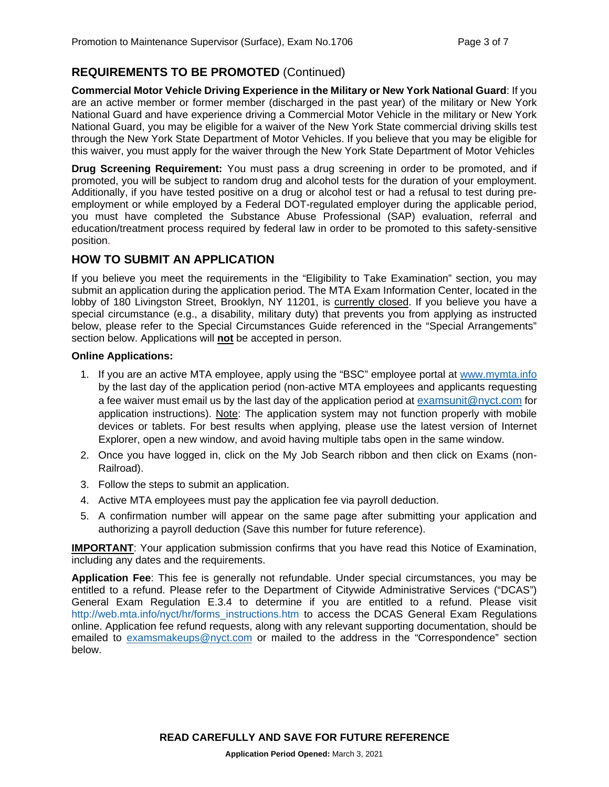### **REQUIREMENTS TO BE PROMOTED** (Continued)

**Commercial Motor Vehicle Driving Experience in the Military or New York National Guard**: If you are an active member or former member (discharged in the past year) of the military or New York National Guard and have experience driving a Commercial Motor Vehicle in the military or New York National Guard, you may be eligible for a waiver of the New York State commercial driving skills test through the New York State Department of Motor Vehicles. If you believe that you may be eligible for this waiver, you must apply for the waiver through the New York State Department of Motor Vehicles

**Drug Screening Requirement:** You must pass a drug screening in order to be promoted, and if promoted, you will be subject to random drug and alcohol tests for the duration of your employment. Additionally, if you have tested positive on a drug or alcohol test or had a refusal to test during preemployment or while employed by a Federal DOT-regulated employer during the applicable period, you must have completed the Substance Abuse Professional (SAP) evaluation, referral and education/treatment process required by federal law in order to be promoted to this safety-sensitive position.

#### **HOW TO SUBMIT AN APPLICATION**

If you believe you meet the requirements in the "Eligibility to Take Examination" section, you may submit an application during the application period. The MTA Exam Information Center, located in the lobby of 180 Livingston Street, Brooklyn, NY 11201, is currently closed. If you believe you have a special circumstance (e.g., a disability, military duty) that prevents you from applying as instructed below, please refer to the Special Circumstances Guide referenced in the "Special Arrangements" section below. Applications will **not** be accepted in person.

#### **Online Applications:**

- 1. If you are an active MTA employee, apply using the "BSC" employee portal at [www.mymta.info](http://www.mymta.info/) by the last day of the application period (non-active MTA employees and applicants requesting a fee waiver must email us by the last day of the application period at [examsunit@nyct.com](mailto:examsunit@nyct.com) for application instructions). Note: The application system may not function properly with mobile devices or tablets. For best results when applying, please use the latest version of Internet Explorer, open a new window, and avoid having multiple tabs open in the same window.
- 2. Once you have logged in, click on the My Job Search ribbon and then click on Exams (non-Railroad).
- 3. Follow the steps to submit an application.
- 4. Active MTA employees must pay the application fee via payroll deduction.
- 5. A confirmation number will appear on the same page after submitting your application and authorizing a payroll deduction (Save this number for future reference).

**IMPORTANT**: Your application submission confirms that you have read this Notice of Examination, including any dates and the requirements.

**Application Fee**: This fee is generally not refundable. Under special circumstances, you may be entitled to a refund. Please refer to the Department of Citywide Administrative Services ("DCAS") General Exam Regulation E.3.4 to determine if you are entitled to a refund. Please visit [http://web.mta.info/nyct/hr/forms\\_instructions.htm](http://web.mta.info/nyct/hr/forms_instructions.htm) to access the DCAS General Exam Regulations online. Application fee refund requests, along with any relevant supporting documentation, should be emailed to [examsmakeups@nyct.com](mailto:examsmakeups@nyct.com) or mailed to the address in the "Correspondence" section below.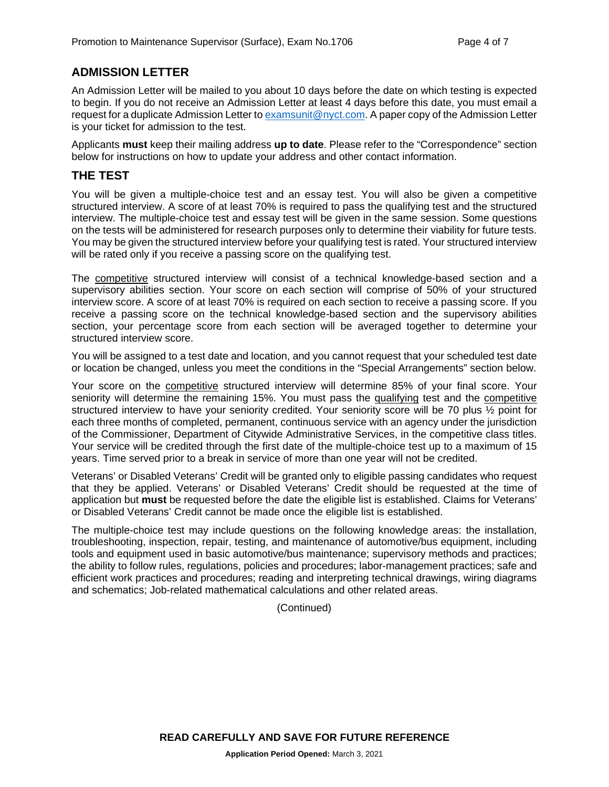#### **ADMISSION LETTER**

An Admission Letter will be mailed to you about 10 days before the date on which testing is expected to begin. If you do not receive an Admission Letter at least 4 days before this date, you must email a request for a duplicate Admission Letter t[o examsunit@nyct.com.](mailto:examsunit@nyct.com) A paper copy of the Admission Letter is your ticket for admission to the test.

Applicants **must** keep their mailing address **up to date**. Please refer to the "Correspondence" section below for instructions on how to update your address and other contact information.

#### **THE TEST**

You will be given a multiple-choice test and an essay test. You will also be given a competitive structured interview. A score of at least 70% is required to pass the qualifying test and the structured interview. The multiple-choice test and essay test will be given in the same session. Some questions on the tests will be administered for research purposes only to determine their viability for future tests. You may be given the structured interview before your qualifying test is rated. Your structured interview will be rated only if you receive a passing score on the qualifying test.

The competitive structured interview will consist of a technical knowledge-based section and a supervisory abilities section. Your score on each section will comprise of 50% of your structured interview score. A score of at least 70% is required on each section to receive a passing score. If you receive a passing score on the technical knowledge-based section and the supervisory abilities section, your percentage score from each section will be averaged together to determine your structured interview score.

You will be assigned to a test date and location, and you cannot request that your scheduled test date or location be changed, unless you meet the conditions in the "Special Arrangements" section below.

Your score on the **competitive** structured interview will determine 85% of your final score. Your seniority will determine the remaining 15%. You must pass the qualifying test and the competitive structured interview to have your seniority credited. Your seniority score will be 70 plus ½ point for each three months of completed, permanent, continuous service with an agency under the jurisdiction of the Commissioner, Department of Citywide Administrative Services, in the competitive class titles. Your service will be credited through the first date of the multiple-choice test up to a maximum of 15 years. Time served prior to a break in service of more than one year will not be credited.

Veterans' or Disabled Veterans' Credit will be granted only to eligible passing candidates who request that they be applied. Veterans' or Disabled Veterans' Credit should be requested at the time of application but **must** be requested before the date the eligible list is established. Claims for Veterans' or Disabled Veterans' Credit cannot be made once the eligible list is established.

The multiple-choice test may include questions on the following knowledge areas: the installation, troubleshooting, inspection, repair, testing, and maintenance of automotive/bus equipment, including tools and equipment used in basic automotive/bus maintenance; supervisory methods and practices; the ability to follow rules, regulations, policies and procedures; labor-management practices; safe and efficient work practices and procedures; reading and interpreting technical drawings, wiring diagrams and schematics; Job-related mathematical calculations and other related areas.

(Continued)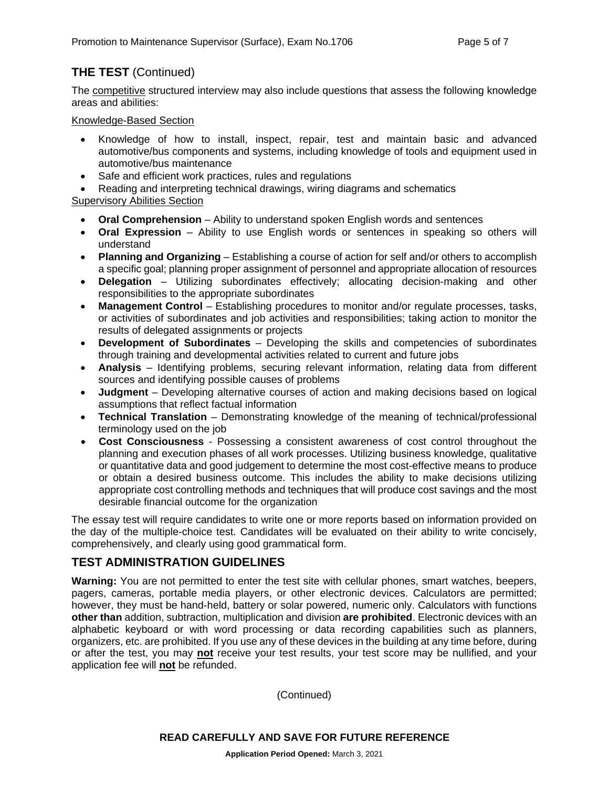# **THE TEST** (Continued)

The competitive structured interview may also include questions that assess the following knowledge areas and abilities:

#### Knowledge-Based Section

- Knowledge of how to install, inspect, repair, test and maintain basic and advanced automotive/bus components and systems, including knowledge of tools and equipment used in automotive/bus maintenance
- Safe and efficient work practices, rules and regulations
- Reading and interpreting technical drawings, wiring diagrams and schematics

Supervisory Abilities Section

- **Oral Comprehension** Ability to understand spoken English words and sentences
- **Oral Expression** Ability to use English words or sentences in speaking so others will understand
- **Planning and Organizing** Establishing a course of action for self and/or others to accomplish a specific goal; planning proper assignment of personnel and appropriate allocation of resources
- **Delegation** Utilizing subordinates effectively; allocating decision-making and other responsibilities to the appropriate subordinates
- **Management Control** Establishing procedures to monitor and/or regulate processes, tasks, or activities of subordinates and job activities and responsibilities; taking action to monitor the results of delegated assignments or projects
- **Development of Subordinates** Developing the skills and competencies of subordinates through training and developmental activities related to current and future jobs
- **Analysis** Identifying problems, securing relevant information, relating data from different sources and identifying possible causes of problems
- **Judgment** Developing alternative courses of action and making decisions based on logical assumptions that reflect factual information
- **Technical Translation** Demonstrating knowledge of the meaning of technical/professional terminology used on the job
- **Cost Consciousness** Possessing a consistent awareness of cost control throughout the planning and execution phases of all work processes. Utilizing business knowledge, qualitative or quantitative data and good judgement to determine the most cost-effective means to produce or obtain a desired business outcome. This includes the ability to make decisions utilizing appropriate cost controlling methods and techniques that will produce cost savings and the most desirable financial outcome for the organization

The essay test will require candidates to write one or more reports based on information provided on the day of the multiple-choice test. Candidates will be evaluated on their ability to write concisely, comprehensively, and clearly using good grammatical form.

# **TEST ADMINISTRATION GUIDELINES**

**Warning:** You are not permitted to enter the test site with cellular phones, smart watches, beepers, pagers, cameras, portable media players, or other electronic devices. Calculators are permitted; however, they must be hand-held, battery or solar powered, numeric only. Calculators with functions **other than** addition, subtraction, multiplication and division **are prohibited**. Electronic devices with an alphabetic keyboard or with word processing or data recording capabilities such as planners, organizers, etc. are prohibited. If you use any of these devices in the building at any time before, during or after the test, you may **not** receive your test results, your test score may be nullified, and your application fee will **not** be refunded.

(Continued)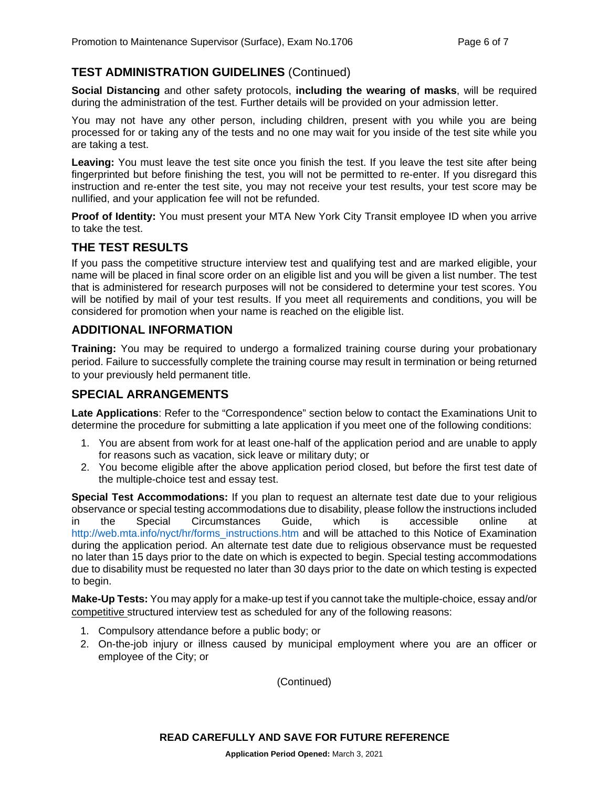# **TEST ADMINISTRATION GUIDELINES** (Continued)

**Social Distancing** and other safety protocols, **including the wearing of masks**, will be required during the administration of the test. Further details will be provided on your admission letter.

You may not have any other person, including children, present with you while you are being processed for or taking any of the tests and no one may wait for you inside of the test site while you are taking a test.

**Leaving:** You must leave the test site once you finish the test. If you leave the test site after being fingerprinted but before finishing the test, you will not be permitted to re-enter. If you disregard this instruction and re-enter the test site, you may not receive your test results, your test score may be nullified, and your application fee will not be refunded.

**Proof of Identity:** You must present your MTA New York City Transit employee ID when you arrive to take the test.

#### **THE TEST RESULTS**

If you pass the competitive structure interview test and qualifying test and are marked eligible, your name will be placed in final score order on an eligible list and you will be given a list number. The test that is administered for research purposes will not be considered to determine your test scores. You will be notified by mail of your test results. If you meet all requirements and conditions, you will be considered for promotion when your name is reached on the eligible list.

#### **ADDITIONAL INFORMATION**

**Training:** You may be required to undergo a formalized training course during your probationary period. Failure to successfully complete the training course may result in termination or being returned to your previously held permanent title.

#### **SPECIAL ARRANGEMENTS**

**Late Applications**: Refer to the "Correspondence" section below to contact the Examinations Unit to determine the procedure for submitting a late application if you meet one of the following conditions:

- 1. You are absent from work for at least one-half of the application period and are unable to apply for reasons such as vacation, sick leave or military duty; or
- 2. You become eligible after the above application period closed, but before the first test date of the multiple-choice test and essay test.

**Special Test Accommodations:** If you plan to request an alternate test date due to your religious observance or special testing accommodations due to disability, please follow the instructions included<br>in the Special Circumstances Guide. which is accessible online at in the Special Circumstances Guide, which is accessible online at [http://web.mta.info/nyct/hr/forms\\_instructions.htm](http://web.mta.info/nyct/hr/forms_instructions.htm) and will be attached to this Notice of Examination during the application period. An alternate test date due to religious observance must be requested no later than 15 days prior to the date on which is expected to begin. Special testing accommodations due to disability must be requested no later than 30 days prior to the date on which testing is expected to begin.

**Make-Up Tests:** You may apply for a make-up test if you cannot take the multiple-choice, essay and/or competitive structured interview test as scheduled for any of the following reasons:

- 1. Compulsory attendance before a public body; or
- 2. On-the-job injury or illness caused by municipal employment where you are an officer or employee of the City; or

(Continued)